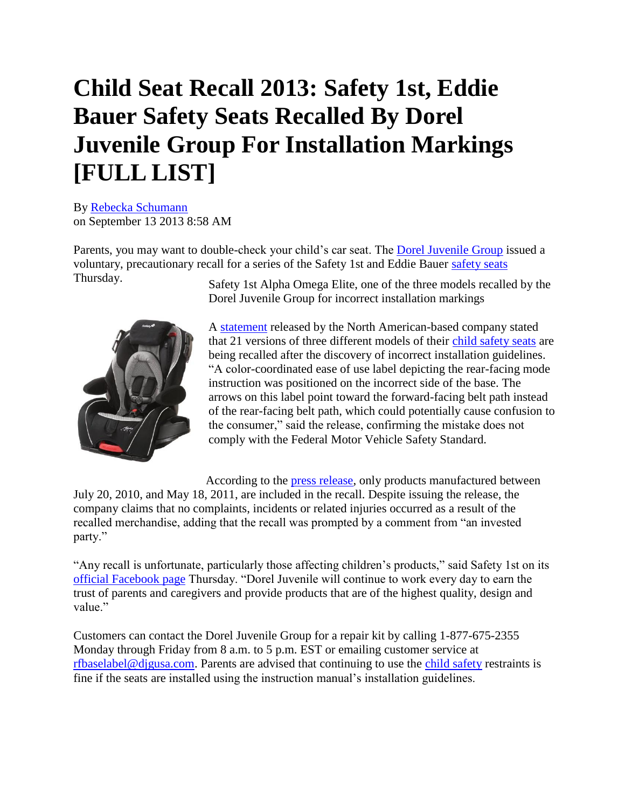## **Child Seat Recall 2013: Safety 1st, Eddie Bauer Safety Seats Recalled By Dorel Juvenile Group For Installation Markings [FULL LIST]**

By [Rebecka Schumann](http://www.ibtimes.com/reporters/rebecka-schumann) on September 13 2013 8:58 AM

Parents, you may want to double-check your child's car seat. The [Dorel Juvenile Group](http://www.ibtimes.com/child-seat-recall-2013-safety-1st-eddie-bauer-safety-seats-recalled-dorel-juvenile-group-1405332) issued a voluntary, precautionary recall for a series of the Safety 1st and Eddie Bauer [safety seats](http://www.ibtimes.com/child-seat-recall-2013-safety-1st-eddie-bauer-safety-seats-recalled-dorel-juvenile-group-1405332) Thursday. Safety 1st Alpha Omega Elite, one of the three models recalled by the





A [statement](http://www.djgusa.com/usa/eng/Safety-Notices/Detail/556-Dorel-Juvenile-Announces-a-Safety-Recall-of-Certain-Safety-1st-and-Eddie-Bauer-Child-Restraint-Systems) released by the North American-based company stated that 21 versions of three different models of their [child safety seats](http://www.ibtimes.com/child-seat-recall-2013-safety-1st-eddie-bauer-safety-seats-recalled-dorel-juvenile-group-1405332) are being recalled after the discovery of incorrect installation guidelines. "A color-coordinated ease of use label depicting the rear-facing mode instruction was positioned on the incorrect side of the base. The arrows on this label point toward the forward-facing belt path instead of the rear-facing belt path, which could potentially cause confusion to the consumer," said the release, confirming the mistake does not comply with the Federal Motor Vehicle Safety Standard.

According to the [press release,](http://www.djgusa.com/usa/eng/Safety-Notices/Detail/556-Dorel-Juvenile-Announces-a-Safety-Recall-of-Certain-Safety-1st-and-Eddie-Bauer-Child-Restraint-Systems) only products manufactured between July 20, 2010, and May 18, 2011, are included in the recall. Despite issuing the release, the company claims that no complaints, incidents or related injuries occurred as a result of the recalled merchandise, adding that the recall was prompted by a comment from "an invested party."

"Any recall is unfortunate, particularly those affecting children's products," said Safety 1st on it[s](https://www.facebook.com/safety1st) [official Facebook page](https://www.facebook.com/safety1st) Thursday. "Dorel Juvenile will continue to work every day to earn the trust of parents and caregivers and provide products that are of the highest quality, design and value."

Customers can contact the Dorel Juvenile Group for a repair kit by calling 1-877-675-2355 Monday through Friday from 8 a.m. to 5 p.m. EST or emailing customer service at [rfbaselabel@djgusa.com.](mailto:rfbaselabel@djgusa.com) Parents are advised that continuing to use the [child safety](http://www.ibtimes.com/child-seat-recall-2013-safety-1st-eddie-bauer-safety-seats-recalled-dorel-juvenile-group-1405332) restraints is fine if the seats are installed using the instruction manual's installation guidelines.